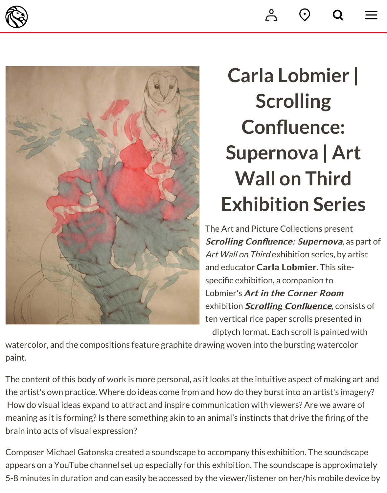

## $C$ arla L[obm](https://www.nypl.org/locations/map?nearme=true)i **Scrolling Confluence:** Supernova | **Wall on Th Exhibition Se**

The Art and Picture Collections p Scrolling Confluence: Superno Art Wall on Third exhibition series and educator Carla Lobmier. Th specific exhibition, a companion t Lobmier's Art in the Corner Ro exhibition **Scrolling Confluence** ten vertical rice paper scrolls pres diptych format. Each scroll is pa

watercolor, and the compositions feature graphite drawing woven into the bursting watercolor. paint.

The content of this body of work is more personal, as it looks at the intuitive aspect of m the artist's own practice. Where do ideas come from and how do they burst into an artist How do visual ideas expand to attract and inspire communication with viewers? Are we meaning as it is forming? Is there something akin to an animal's instincts that drive the f brain into acts of visual expression?

Composer Michael Gatonska created a soundscape to accompany this exhibition. The sounds appears on a YouTube channel set up especially for this exhibition. The soundscape is a 5-8 minutes in duration and can easily be accessed by the viewer/listener on her/his mo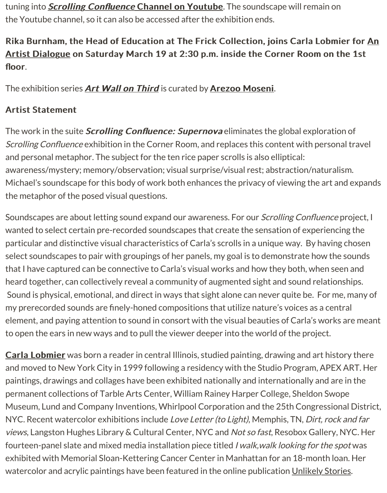floor.

The exhibition series **Art Wall on Third** is curated by **Arezoo Moseni**.

## **[Artist Statement](http://www.nypl.org/events/programs/2016/03/19/scrolling-confluence-carla-lobmier-rika-burnham-artist-dialogue-series)**

The work in the suite *Scrolling Confluence: Supernova* eliminates the global exploration of Scrolling Confluence exhibition in the Corner Room, and replaces this content with pers and personal metaph[or. The subject for th](http://www.nypl.org/search/apachesolr_search/%22art%20wall%20on%20third%22)e ten rice pa[per scrolls is also e](http://www.nypl.org/search/apachesolr_search/arezoo%20moseni)lliptical: awareness/mystery; memory/observation; visual surprise/visual rest; abstraction/natu Michael's soundscape for this body of work both enhances the privacy of viewing the ar the metaphor of the posed visual questions.

Soundscapes are about letting sound expand our awareness. For our *Scrolling Confluer* wanted to select certain pre-recorded soundscapes that create the sensation of experiencients. particular and distinctive visual characteristics of Carla's scrolls in a unique way. By hav select soundscapes to pair with groupings of her panels, my goal is to demonstrate how that I have captured can be connective to Carla's visual works and how they both, when heard together, can collectively reveal a community of augmented sight and sound relat Sound is physical, emotional, and direct in ways that sight alone can never quite be. For my prerecorded sounds are finely-honed compositions that utilize nature's voices as a c element, and paying attention to sound in consort with the visual beauties of Carla's wo to open the ears in new ways and to pull the viewer deeper into the world of the project.

Carla Lobmier was born a reader in central Illinois, studied painting, drawing and art h and moved to New York City in 1999 following a residency with the Studio Program, AF paintings, drawings and collages have been exhibited nationally and internationally and permanent collections of Tarble Arts Center, William Rainey Harper College, Sheldon S Museum, Lund and Company Inventions, Whirlpool Corporation and the 25th Congress [NYC. Recent wa](http://www.carlalobmier.com/)tercolor exhibitions include Love Letter (to Light), Memphis, TN, Dirt, r views, Langston Hughes Library & Cultural Center, NYC and Not so fast, Resobox Galle fourteen-panel slate and mixed media installation piece titled *I walk, walk looking for th* exhibited with Memorial Sloan-Kettering Cancer Center in Manhattan for an 18-month watercolor and acrylic paintings have been featured in the online publication Unlikely S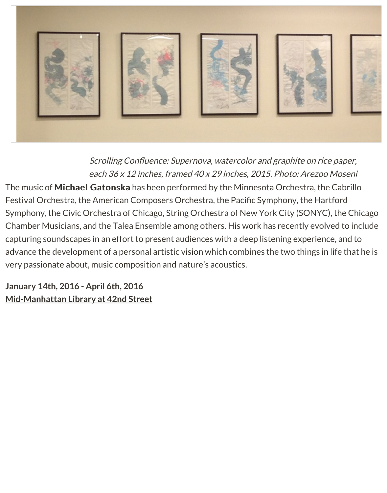

Scrolling Confluence: Supernova, watercolor and graphite on rice each  $36$  x 12 inches, framed  $40$  x 29 inches, 2015. Photo: Arezoo

The music of **Michael Gatonska** has been performed by the Minnesota Orchestra, the Festival Orchestra, the American Composers Orchestra, the Pacific Symphony, the Har Symphony, the Civic Orchestra of Chicago, String Orchestra of New York City (SONYC) Chamber Musicians, and the Talea Ensemble among others. His work has recently evoly capturing soundscapes in an effort to present audiences with a deep listening experiend advance the [development of a per](http://michaelgatonska.com/)sonal artistic vision which combines the two things in very passionate about, music composition and nature's acoustics.

**January 14th, 2016 - April 6th, 2016 Mid-Manhattan Library at 42nd Street**